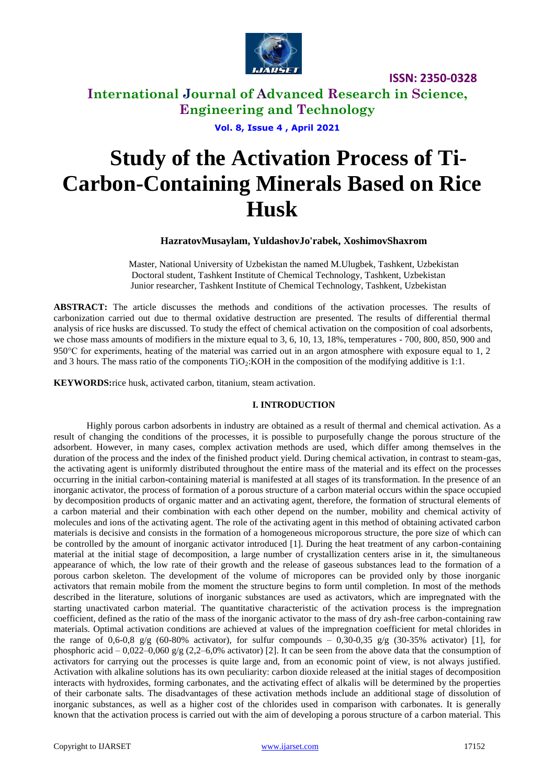

# **International Journal of Advanced Research in Science, Engineering and Technology**

**Vol. 8, Issue 4 , April 2021**

# **Study of the Activation Process of Ti-Carbon-Containing Minerals Based on Rice Husk**

**HazratovMusaylam, YuldashovJo'rabek, XoshimovShaxrom**

Master, National University of Uzbekistan the named M.Ulugbek, Tashkent, Uzbekistan Doctoral student, Tashkent Institute of Chemical Technology, Tashkent, Uzbekistan Junior researcher, Tashkent Institute of Chemical Technology, Tashkent, Uzbekistan

**ABSTRACT:** The article discusses the methods and conditions of the activation processes. The results of carbonization carried out due to thermal oxidative destruction are presented. The results of differential thermal analysis of rice husks are discussed. To study the effect of chemical activation on the composition of coal adsorbents, we chose mass amounts of modifiers in the mixture equal to 3, 6, 10, 13, 18%, temperatures - 700, 800, 850, 900 and 950 $^{\circ}$ C for experiments, heating of the material was carried out in an argon atmosphere with exposure equal to 1, 2 and 3 hours. The mass ratio of the components TiO<sub>2</sub>:KOH in the composition of the modifying additive is 1:1.

**KEYWORDS:**rice husk, activated carbon, titanium, steam activation.

#### **I. INTRODUCTION**

Highly porous carbon adsorbents in industry are obtained as a result of thermal and chemical activation. As a result of changing the conditions of the processes, it is possible to purposefully change the porous structure of the adsorbent. However, in many cases, complex activation methods are used, which differ among themselves in the duration of the process and the index of the finished product yield. During chemical activation, in contrast to steam-gas, the activating agent is uniformly distributed throughout the entire mass of the material and its effect on the processes occurring in the initial carbon-containing material is manifested at all stages of its transformation. In the presence of an inorganic activator, the process of formation of a porous structure of a carbon material occurs within the space occupied by decomposition products of organic matter and an activating agent, therefore, the formation of structural elements of a carbon material and their combination with each other depend on the number, mobility and chemical activity of molecules and ions of the activating agent. The role of the activating agent in this method of obtaining activated carbon materials is decisive and consists in the formation of a homogeneous microporous structure, the pore size of which can be controlled by the amount of inorganic activator introduced [1]. During the heat treatment of any carbon-containing material at the initial stage of decomposition, a large number of crystallization centers arise in it, the simultaneous appearance of which, the low rate of their growth and the release of gaseous substances lead to the formation of a porous carbon skeleton. The development of the volume of micropores can be provided only by those inorganic activators that remain mobile from the moment the structure begins to form until completion. In most of the methods described in the literature, solutions of inorganic substances are used as activators, which are impregnated with the starting unactivated carbon material. The quantitative characteristic of the activation process is the impregnation coefficient, defined as the ratio of the mass of the inorganic activator to the mass of dry ash-free carbon-containing raw materials. Optimal activation conditions are achieved at values of the impregnation coefficient for metal chlorides in the range of 0,6-0,8  $g/g$  (60-80% activator), for sulfur compounds – 0,30-0,35  $g/g$  (30-35% activator) [1], for phosphoric acid – 0,022–0,060 g/g (2,2–6,0% activator) [2]. It can be seen from the above data that the consumption of activators for carrying out the processes is quite large and, from an economic point of view, is not always justified. Activation with alkaline solutions has its own peculiarity: carbon dioxide released at the initial stages of decomposition interacts with hydroxides, forming carbonates, and the activating effect of alkalis will be determined by the properties of their carbonate salts. The disadvantages of these activation methods include an additional stage of dissolution of inorganic substances, as well as a higher cost of the chlorides used in comparison with carbonates. It is generally known that the activation process is carried out with the aim of developing a porous structure of a carbon material. This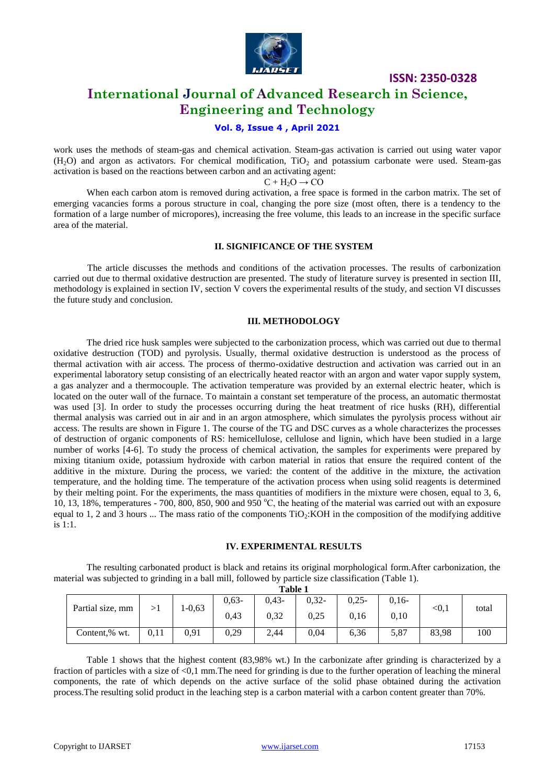

### **International Journal of Advanced Research in Science, Engineering and Technology**

#### **Vol. 8, Issue 4 , April 2021**

work uses the methods of steam-gas and chemical activation. Steam-gas activation is carried out using water vapor  $(H<sub>2</sub>O)$  and argon as activators. For chemical modification, TiO<sub>2</sub> and potassium carbonate were used. Steam-gas activation is based on the reactions between carbon and an activating agent:

 $C + H<sub>2</sub>O \rightarrow CO$ 

When each carbon atom is removed during activation, a free space is formed in the carbon matrix. The set of emerging vacancies forms a porous structure in coal, changing the pore size (most often, there is a tendency to the formation of a large number of micropores), increasing the free volume, this leads to an increase in the specific surface area of the material.

#### **II. SIGNIFICANCE OF THE SYSTEM**

The article discusses the methods and conditions of the activation processes. The results of carbonization carried out due to thermal oxidative destruction are presented. The study of literature survey is presented in section III, methodology is explained in section IV, section V covers the experimental results of the study, and section VI discusses the future study and conclusion.

#### **III. METHODOLOGY**

The dried rice husk samples were subjected to the carbonization process, which was carried out due to thermal oxidative destruction (TOD) and pyrolysis. Usually, thermal oxidative destruction is understood as the process of thermal activation with air access. The process of thermo-oxidative destruction and activation was carried out in an experimental laboratory setup consisting of an electrically heated reactor with an argon and water vapor supply system, a gas analyzer and a thermocouple. The activation temperature was provided by an external electric heater, which is located on the outer wall of the furnace. To maintain a constant set temperature of the process, an automatic thermostat was used [3]. In order to study the processes occurring during the heat treatment of rice husks (RH), differential thermal analysis was carried out in air and in an argon atmosphere, which simulates the pyrolysis process without air access. The results are shown in Figure 1. The course of the TG and DSC curves as a whole characterizes the processes of destruction of organic components of RS: hemicellulose, cellulose and lignin, which have been studied in a large number of works [4-6]. To study the process of chemical activation, the samples for experiments were prepared by mixing titanium oxide, potassium hydroxide with carbon material in ratios that ensure the required content of the additive in the mixture. During the process, we varied: the content of the additive in the mixture, the activation temperature, and the holding time. The temperature of the activation process when using solid reagents is determined by their melting point. For the experiments, the mass quantities of modifiers in the mixture were chosen, equal to 3, 6, 10, 13, 18%, temperatures - 700, 800, 850, 900 and 950 °C, the heating of the material was carried out with an exposure equal to 1, 2 and 3 hours ... The mass ratio of the components  $TiO<sub>2</sub>: KOH$  in the composition of the modifying additive is 1:1.

#### **IV. EXPERIMENTAL RESULTS**

The resulting carbonated product is black and retains its original morphological form.After carbonization, the material was subjected to grinding in a ball mill, followed by particle size classification (Table 1). **Table 1**

|  | таше т           |      |            |         |         |         |         |         |        |       |  |
|--|------------------|------|------------|---------|---------|---------|---------|---------|--------|-------|--|
|  | Partial size, mm |      | $1 - 0.63$ | $0,63-$ | $0,43-$ | $0,32-$ | $0,25-$ | $0.16-$ | < 0, 1 | total |  |
|  |                  |      |            | 0,43    | 0,32    | 0.25    | 0.16    | 0,10    |        |       |  |
|  | Content,% wt.    | 0,11 | 0,91       | 0,29    | 2,44    | 0,04    | 6,36    | 5,87    | 83,98  | 100   |  |

Table 1 shows that the highest content (83,98% wt.) In the carbonizate after grinding is characterized by a fraction of particles with a size of  $\langle 0,1 \text{ mm}$ . The need for grinding is due to the further operation of leaching the mineral components, the rate of which depends on the active surface of the solid phase obtained during the activation process.The resulting solid product in the leaching step is a carbon material with a carbon content greater than 70%.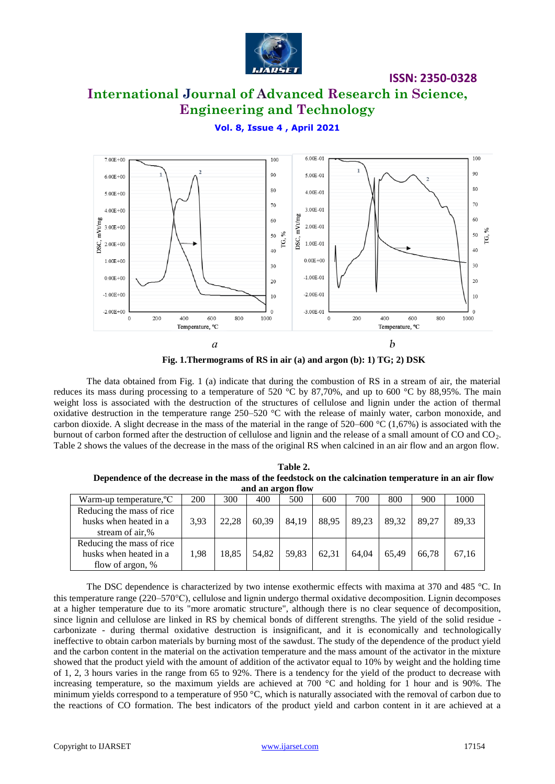

# **International Journal of Advanced Research in Science, Engineering and Technology**

#### **Vol. 8, Issue 4 , April 2021**



**Fig. 1.Thermograms of RS in air (a) and argon (b): 1) TG; 2) DSK**

The data obtained from Fig. 1 (a) indicate that during the combustion of RS in a stream of air, the material reduces its mass during processing to a temperature of 520 °C by 87,70%, and up to 600 °C by 88,95%. The main weight loss is associated with the destruction of the structures of cellulose and lignin under the action of thermal oxidative destruction in the temperature range 250–520 °C with the release of mainly water, carbon monoxide, and carbon dioxide. A slight decrease in the mass of the material in the range of  $520-600$  °C (1,67%) is associated with the burnout of carbon formed after the destruction of cellulose and lignin and the release of a small amount of CO and CO<sub>2</sub>. Table 2 shows the values of the decrease in the mass of the original RS when calcined in an air flow and an argon flow.

**Table 2. Dependence of the decrease in the mass of the feedstock on the calcination temperature in an air flow and an argon flow**

| Warm-up temperature, <sup>o</sup> C | 200  | 300   | 400   | 500   | 600   | 700   | 800   | 900   | 1000  |
|-------------------------------------|------|-------|-------|-------|-------|-------|-------|-------|-------|
| Reducing the mass of rice           |      |       |       |       |       |       |       |       |       |
| husks when heated in a              | 3,93 | 22,28 | 60.39 | 84.19 | 88.95 | 89.23 | 89.32 | 89.27 | 89,33 |
| stream of air,%                     |      |       |       |       |       |       |       |       |       |
| Reducing the mass of rice           |      |       |       |       |       |       |       |       |       |
| husks when heated in a              | 1,98 | 18,85 | 54.82 | 59,83 | 62.31 | 64.04 | 65.49 | 66.78 | 67,16 |
| flow of argon, %                    |      |       |       |       |       |       |       |       |       |

The DSC dependence is characterized by two intense exothermic effects with maxima at 370 and 485 °C. In this temperature range (220–570С), cellulose and lignin undergo thermal oxidative decomposition. Lignin decomposes at a higher temperature due to its "more aromatic structure", although there is no clear sequence of decomposition, since lignin and cellulose are linked in RS by chemical bonds of different strengths. The yield of the solid residue carbonizate - during thermal oxidative destruction is insignificant, and it is economically and technologically ineffective to obtain carbon materials by burning most of the sawdust. The study of the dependence of the product yield and the carbon content in the material on the activation temperature and the mass amount of the activator in the mixture showed that the product yield with the amount of addition of the activator equal to 10% by weight and the holding time of 1, 2, 3 hours varies in the range from 65 to 92%. There is a tendency for the yield of the product to decrease with increasing temperature, so the maximum yields are achieved at 700 °C and holding for 1 hour and is 90%. The minimum yields correspond to a temperature of 950  $\degree$ C, which is naturally associated with the removal of carbon due to the reactions of CO formation. The best indicators of the product yield and carbon content in it are achieved at a